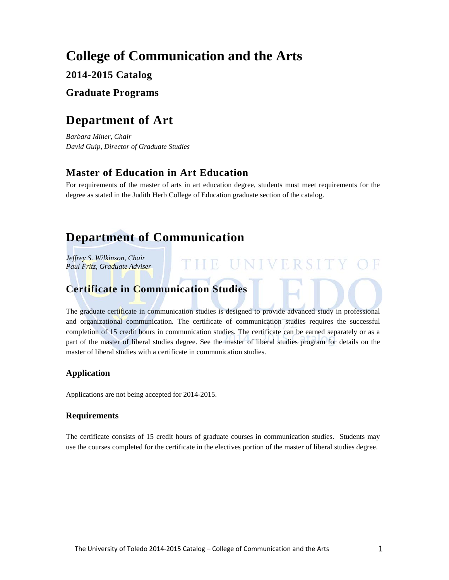# **College of Communication and the Arts**

## **2014-2015 Catalog**

### **Graduate Programs**

# **Department of Art**

*Barbara Miner, Chair David Guip, Director of Graduate Studies* 

## **Master of Education in Art Education**

For requirements of the master of arts in art education degree, students must meet requirements for the degree as stated in the Judith Herb College of Education graduate section of the catalog.

# **Department of Communication**

*Jeffrey S. Wilkinson, Chair Paul Fritz, Graduate Adviser*

## **Certificate in Communication Studies**

The graduate certificate in communication studies is designed to provide advanced study in professional and organizational communication. The certificate of communication studies requires the successful completion of 15 credit hours in communication studies. The certificate can be earned separately or as a part of the master of liberal studies degree. See the master of liberal studies program for details on the master of liberal studies with a certificate in communication studies.

THE UNIVERSIT

### **Application**

Applications are not being accepted for 2014-2015.

### **Requirements**

The certificate consists of 15 credit hours of graduate courses in communication studies. Students may use the courses completed for the certificate in the electives portion of the master of liberal studies degree.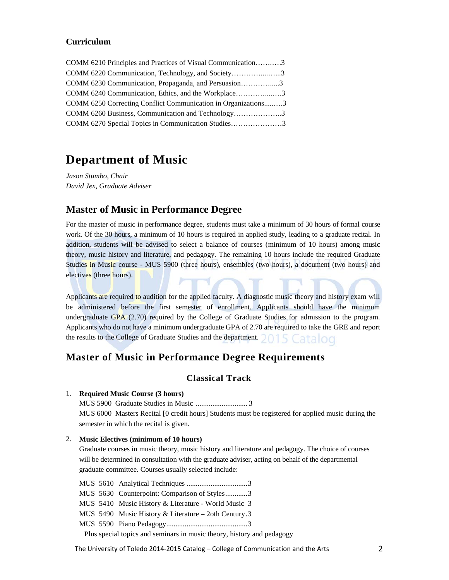### **Curriculum**

| COMM 6210 Principles and Practices of Visual Communication3   |  |
|---------------------------------------------------------------|--|
| COMM 6220 Communication, Technology, and Society3             |  |
| COMM 6230 Communication, Propaganda, and Persuasion3          |  |
| COMM 6240 Communication, Ethics, and the Workplace3           |  |
| COMM 6250 Correcting Conflict Communication in Organizations3 |  |
| COMM 6260 Business, Communication and Technology3             |  |
| COMM 6270 Special Topics in Communication Studies3            |  |

## **Department of Music**

*Jason Stumbo, Chair David Jex, Graduate Adviser*

### **Master of Music in Performance Degree**

For the master of music in performance degree, students must take a minimum of 30 hours of formal course work. Of the 30 hours, a minimum of 10 hours is required in applied study, leading to a graduate recital. In addition, students will be advised to select a balance of courses (minimum of 10 hours) among music theory, music history and literature, and pedagogy. The remaining 10 hours include the required Graduate Studies in Music course - MUS 5900 (three hours), ensembles (two hours), a document (two hours) and electives (three hours).

Applicants are required to audition for the applied faculty. A diagnostic music theory and history exam will be administered before the first semester of enrollment. Applicants should have the minimum undergraduate GPA (2.70) required by the College of Graduate Studies for admission to the program. Applicants who do not have a minimum undergraduate GPA of 2.70 are required to take the GRE and report the results to the College of Graduate Studies and the department. 5 Catalog

### **Master of Music in Performance Degree Requirements**

### **Classical Track**

#### 1. **Required Music Course (3 hours)**

MUS 5900 Graduate Studies in Music ............................ 3 MUS 6000 Masters Recital [0 credit hours] Students must be registered for applied music during the

semester in which the recital is given.

### 2. **Music Electives (minimum of 10 hours)**

Graduate courses in music theory, music history and literature and pedagogy. The choice of courses will be determined in consultation with the graduate adviser, acting on behalf of the departmental graduate committee. Courses usually selected include:

MUS 5610 Analytical Techniques .................................3 MUS 5630 Counterpoint: Comparison of Styles............3 MUS 5410 Music History & Literature - World Music 3 MUS 5490 Music History & Literature – 2oth Century.3 MUS 5590 Piano Pedagogy............................................3

Plus special topics and seminars in music theory, history and pedagogy

The University of Toledo 2014-2015 Catalog – College of Communication and the Arts 2